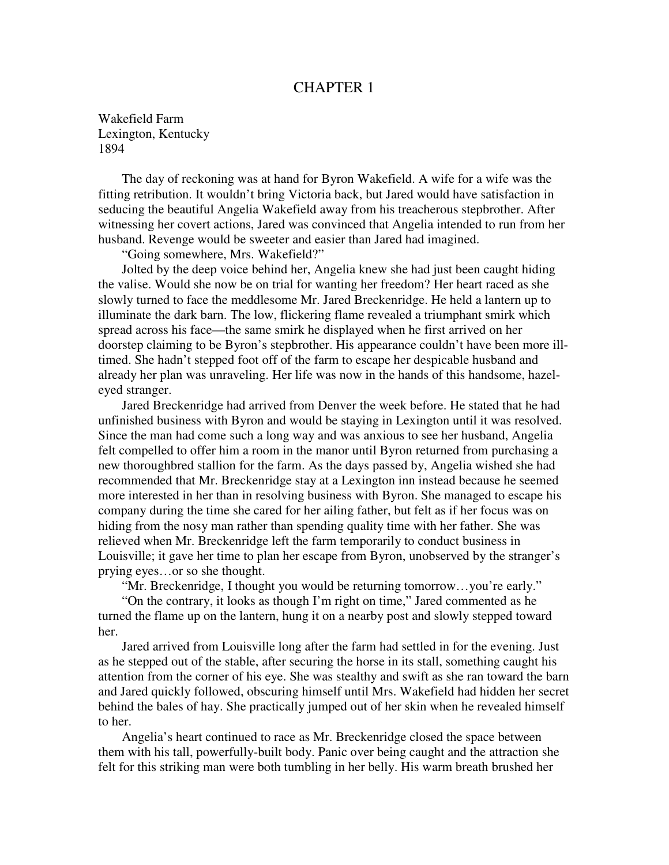## CHAPTER 1

Wakefield Farm Lexington, Kentucky 1894

The day of reckoning was at hand for Byron Wakefield. A wife for a wife was the fitting retribution. It wouldn't bring Victoria back, but Jared would have satisfaction in seducing the beautiful Angelia Wakefield away from his treacherous stepbrother. After witnessing her covert actions, Jared was convinced that Angelia intended to run from her husband. Revenge would be sweeter and easier than Jared had imagined.

"Going somewhere, Mrs. Wakefield?"

Jolted by the deep voice behind her, Angelia knew she had just been caught hiding the valise. Would she now be on trial for wanting her freedom? Her heart raced as she slowly turned to face the meddlesome Mr. Jared Breckenridge. He held a lantern up to illuminate the dark barn. The low, flickering flame revealed a triumphant smirk which spread across his face—the same smirk he displayed when he first arrived on her doorstep claiming to be Byron's stepbrother. His appearance couldn't have been more illtimed. She hadn't stepped foot off of the farm to escape her despicable husband and already her plan was unraveling. Her life was now in the hands of this handsome, hazeleyed stranger.

Jared Breckenridge had arrived from Denver the week before. He stated that he had unfinished business with Byron and would be staying in Lexington until it was resolved. Since the man had come such a long way and was anxious to see her husband, Angelia felt compelled to offer him a room in the manor until Byron returned from purchasing a new thoroughbred stallion for the farm. As the days passed by, Angelia wished she had recommended that Mr. Breckenridge stay at a Lexington inn instead because he seemed more interested in her than in resolving business with Byron. She managed to escape his company during the time she cared for her ailing father, but felt as if her focus was on hiding from the nosy man rather than spending quality time with her father. She was relieved when Mr. Breckenridge left the farm temporarily to conduct business in Louisville; it gave her time to plan her escape from Byron, unobserved by the stranger's prying eyes…or so she thought.

"Mr. Breckenridge, I thought you would be returning tomorrow…you're early."

"On the contrary, it looks as though I'm right on time," Jared commented as he turned the flame up on the lantern, hung it on a nearby post and slowly stepped toward her.

Jared arrived from Louisville long after the farm had settled in for the evening. Just as he stepped out of the stable, after securing the horse in its stall, something caught his attention from the corner of his eye. She was stealthy and swift as she ran toward the barn and Jared quickly followed, obscuring himself until Mrs. Wakefield had hidden her secret behind the bales of hay. She practically jumped out of her skin when he revealed himself to her.

Angelia's heart continued to race as Mr. Breckenridge closed the space between them with his tall, powerfully-built body. Panic over being caught and the attraction she felt for this striking man were both tumbling in her belly. His warm breath brushed her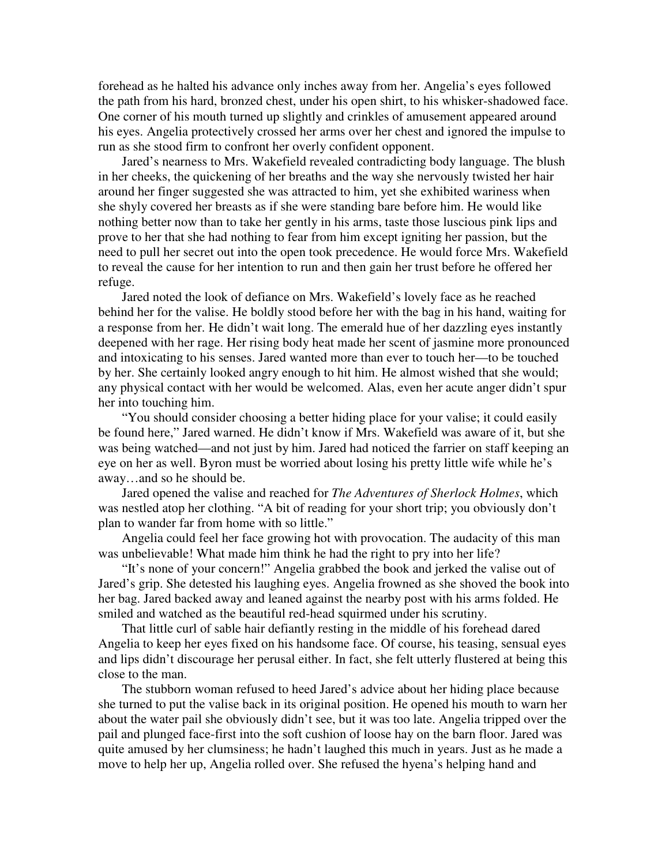forehead as he halted his advance only inches away from her. Angelia's eyes followed the path from his hard, bronzed chest, under his open shirt, to his whisker-shadowed face. One corner of his mouth turned up slightly and crinkles of amusement appeared around his eyes. Angelia protectively crossed her arms over her chest and ignored the impulse to run as she stood firm to confront her overly confident opponent.

Jared's nearness to Mrs. Wakefield revealed contradicting body language. The blush in her cheeks, the quickening of her breaths and the way she nervously twisted her hair around her finger suggested she was attracted to him, yet she exhibited wariness when she shyly covered her breasts as if she were standing bare before him. He would like nothing better now than to take her gently in his arms, taste those luscious pink lips and prove to her that she had nothing to fear from him except igniting her passion, but the need to pull her secret out into the open took precedence. He would force Mrs. Wakefield to reveal the cause for her intention to run and then gain her trust before he offered her refuge.

Jared noted the look of defiance on Mrs. Wakefield's lovely face as he reached behind her for the valise. He boldly stood before her with the bag in his hand, waiting for a response from her. He didn't wait long. The emerald hue of her dazzling eyes instantly deepened with her rage. Her rising body heat made her scent of jasmine more pronounced and intoxicating to his senses. Jared wanted more than ever to touch her—to be touched by her. She certainly looked angry enough to hit him. He almost wished that she would; any physical contact with her would be welcomed. Alas, even her acute anger didn't spur her into touching him.

"You should consider choosing a better hiding place for your valise; it could easily be found here," Jared warned. He didn't know if Mrs. Wakefield was aware of it, but she was being watched—and not just by him. Jared had noticed the farrier on staff keeping an eye on her as well. Byron must be worried about losing his pretty little wife while he's away…and so he should be.

Jared opened the valise and reached for *The Adventures of Sherlock Holmes*, which was nestled atop her clothing. "A bit of reading for your short trip; you obviously don't plan to wander far from home with so little."

Angelia could feel her face growing hot with provocation. The audacity of this man was unbelievable! What made him think he had the right to pry into her life?

"It's none of your concern!" Angelia grabbed the book and jerked the valise out of Jared's grip. She detested his laughing eyes. Angelia frowned as she shoved the book into her bag. Jared backed away and leaned against the nearby post with his arms folded. He smiled and watched as the beautiful red-head squirmed under his scrutiny.

That little curl of sable hair defiantly resting in the middle of his forehead dared Angelia to keep her eyes fixed on his handsome face. Of course, his teasing, sensual eyes and lips didn't discourage her perusal either. In fact, she felt utterly flustered at being this close to the man.

The stubborn woman refused to heed Jared's advice about her hiding place because she turned to put the valise back in its original position. He opened his mouth to warn her about the water pail she obviously didn't see, but it was too late. Angelia tripped over the pail and plunged face-first into the soft cushion of loose hay on the barn floor. Jared was quite amused by her clumsiness; he hadn't laughed this much in years. Just as he made a move to help her up, Angelia rolled over. She refused the hyena's helping hand and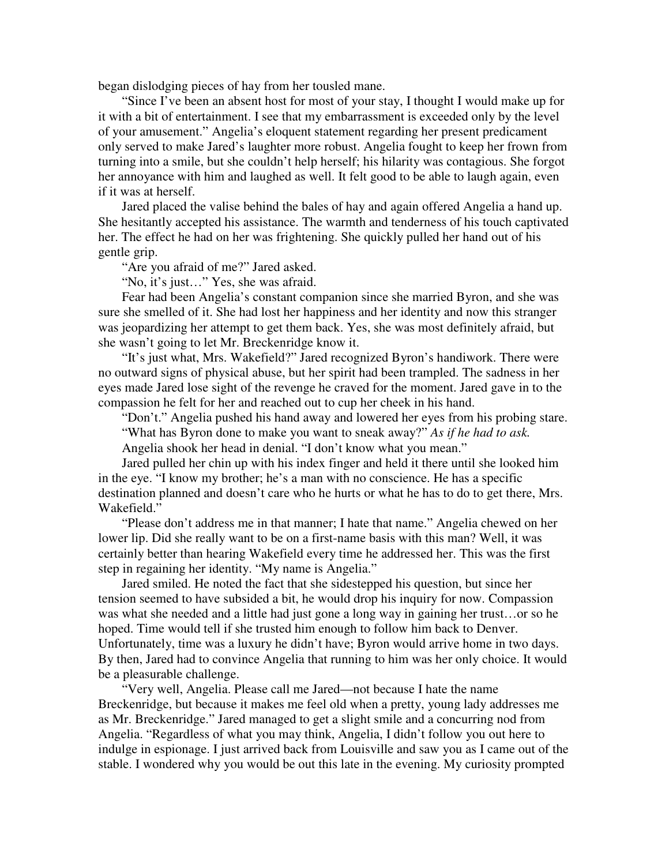began dislodging pieces of hay from her tousled mane.

"Since I've been an absent host for most of your stay, I thought I would make up for it with a bit of entertainment. I see that my embarrassment is exceeded only by the level of your amusement." Angelia's eloquent statement regarding her present predicament only served to make Jared's laughter more robust. Angelia fought to keep her frown from turning into a smile, but she couldn't help herself; his hilarity was contagious. She forgot her annoyance with him and laughed as well. It felt good to be able to laugh again, even if it was at herself.

Jared placed the valise behind the bales of hay and again offered Angelia a hand up. She hesitantly accepted his assistance. The warmth and tenderness of his touch captivated her. The effect he had on her was frightening. She quickly pulled her hand out of his gentle grip.

"Are you afraid of me?" Jared asked.

"No, it's just…" Yes, she was afraid.

Fear had been Angelia's constant companion since she married Byron, and she was sure she smelled of it. She had lost her happiness and her identity and now this stranger was jeopardizing her attempt to get them back. Yes, she was most definitely afraid, but she wasn't going to let Mr. Breckenridge know it.

"It's just what, Mrs. Wakefield?" Jared recognized Byron's handiwork. There were no outward signs of physical abuse, but her spirit had been trampled. The sadness in her eyes made Jared lose sight of the revenge he craved for the moment. Jared gave in to the compassion he felt for her and reached out to cup her cheek in his hand.

"Don't." Angelia pushed his hand away and lowered her eyes from his probing stare.

"What has Byron done to make you want to sneak away?" *As if he had to ask.* Angelia shook her head in denial. "I don't know what you mean."

Jared pulled her chin up with his index finger and held it there until she looked him in the eye. "I know my brother; he's a man with no conscience. He has a specific destination planned and doesn't care who he hurts or what he has to do to get there, Mrs. Wakefield."

"Please don't address me in that manner; I hate that name." Angelia chewed on her lower lip. Did she really want to be on a first-name basis with this man? Well, it was certainly better than hearing Wakefield every time he addressed her. This was the first step in regaining her identity. "My name is Angelia."

Jared smiled. He noted the fact that she sidestepped his question, but since her tension seemed to have subsided a bit, he would drop his inquiry for now. Compassion was what she needed and a little had just gone a long way in gaining her trust…or so he hoped. Time would tell if she trusted him enough to follow him back to Denver. Unfortunately, time was a luxury he didn't have; Byron would arrive home in two days. By then, Jared had to convince Angelia that running to him was her only choice. It would be a pleasurable challenge.

"Very well, Angelia. Please call me Jared—not because I hate the name Breckenridge, but because it makes me feel old when a pretty, young lady addresses me as Mr. Breckenridge." Jared managed to get a slight smile and a concurring nod from Angelia. "Regardless of what you may think, Angelia, I didn't follow you out here to indulge in espionage. I just arrived back from Louisville and saw you as I came out of the stable. I wondered why you would be out this late in the evening. My curiosity prompted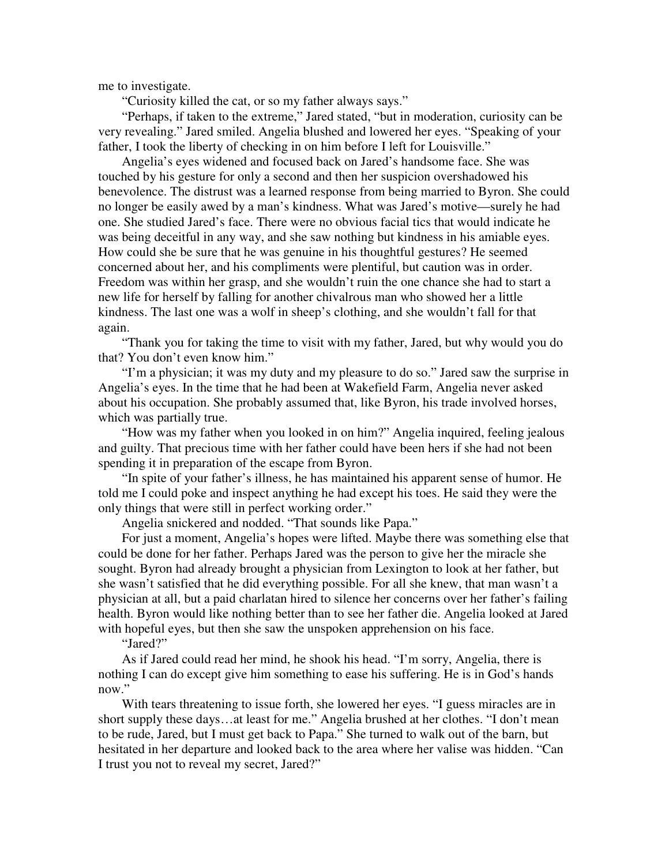me to investigate.

"Curiosity killed the cat, or so my father always says."

"Perhaps, if taken to the extreme," Jared stated, "but in moderation, curiosity can be very revealing." Jared smiled. Angelia blushed and lowered her eyes. "Speaking of your father, I took the liberty of checking in on him before I left for Louisville."

Angelia's eyes widened and focused back on Jared's handsome face. She was touched by his gesture for only a second and then her suspicion overshadowed his benevolence. The distrust was a learned response from being married to Byron. She could no longer be easily awed by a man's kindness. What was Jared's motive—surely he had one. She studied Jared's face. There were no obvious facial tics that would indicate he was being deceitful in any way, and she saw nothing but kindness in his amiable eyes. How could she be sure that he was genuine in his thoughtful gestures? He seemed concerned about her, and his compliments were plentiful, but caution was in order. Freedom was within her grasp, and she wouldn't ruin the one chance she had to start a new life for herself by falling for another chivalrous man who showed her a little kindness. The last one was a wolf in sheep's clothing, and she wouldn't fall for that again.

"Thank you for taking the time to visit with my father, Jared, but why would you do that? You don't even know him."

"I'm a physician; it was my duty and my pleasure to do so." Jared saw the surprise in Angelia's eyes. In the time that he had been at Wakefield Farm, Angelia never asked about his occupation. She probably assumed that, like Byron, his trade involved horses, which was partially true.

"How was my father when you looked in on him?" Angelia inquired, feeling jealous and guilty. That precious time with her father could have been hers if she had not been spending it in preparation of the escape from Byron.

"In spite of your father's illness, he has maintained his apparent sense of humor. He told me I could poke and inspect anything he had except his toes. He said they were the only things that were still in perfect working order."

Angelia snickered and nodded. "That sounds like Papa."

For just a moment, Angelia's hopes were lifted. Maybe there was something else that could be done for her father. Perhaps Jared was the person to give her the miracle she sought. Byron had already brought a physician from Lexington to look at her father, but she wasn't satisfied that he did everything possible. For all she knew, that man wasn't a physician at all, but a paid charlatan hired to silence her concerns over her father's failing health. Byron would like nothing better than to see her father die. Angelia looked at Jared with hopeful eyes, but then she saw the unspoken apprehension on his face.

"Jared?"

As if Jared could read her mind, he shook his head. "I'm sorry, Angelia, there is nothing I can do except give him something to ease his suffering. He is in God's hands now."

With tears threatening to issue forth, she lowered her eyes. "I guess miracles are in short supply these days…at least for me." Angelia brushed at her clothes. "I don't mean to be rude, Jared, but I must get back to Papa." She turned to walk out of the barn, but hesitated in her departure and looked back to the area where her valise was hidden. "Can I trust you not to reveal my secret, Jared?"